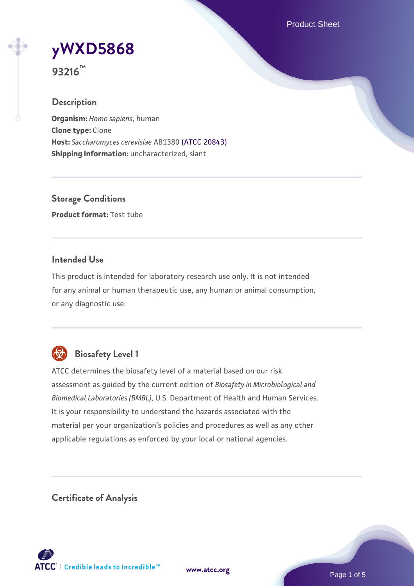Product Sheet

# **[yWXD5868](https://www.atcc.org/products/93216)**

**93216™**

## **Description**

**Organism:** *Homo sapiens*, human **Clone type:** Clone **Host:** *Saccharomyces cerevisiae* AB1380 [\(ATCC 20843\)](https://www.atcc.org/products/20843) **Shipping information:** uncharacterized, slant

**Storage Conditions Product format:** Test tube

## **Intended Use**

This product is intended for laboratory research use only. It is not intended for any animal or human therapeutic use, any human or animal consumption, or any diagnostic use.



# **Biosafety Level 1**

ATCC determines the biosafety level of a material based on our risk assessment as guided by the current edition of *Biosafety in Microbiological and Biomedical Laboratories (BMBL)*, U.S. Department of Health and Human Services. It is your responsibility to understand the hazards associated with the material per your organization's policies and procedures as well as any other applicable regulations as enforced by your local or national agencies.

**Certificate of Analysis**

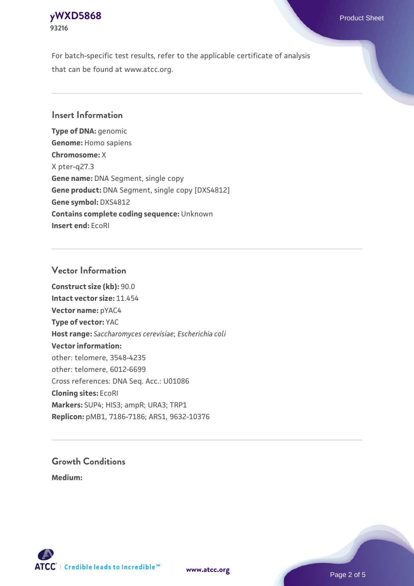## **[yWXD5868](https://www.atcc.org/products/93216)** Product Sheet **93216**

For batch-specific test results, refer to the applicable certificate of analysis that can be found at www.atcc.org.

## **Insert Information**

**Type of DNA:** genomic **Genome:** Homo sapiens **Chromosome:** X X pter-q27.3 **Gene name:** DNA Segment, single copy **Gene product:** DNA Segment, single copy [DXS4812] **Gene symbol:** DXS4812 **Contains complete coding sequence:** Unknown **Insert end:** EcoRI

## **Vector Information**

**Construct size (kb):** 90.0 **Intact vector size:** 11.454 **Vector name:** pYAC4 **Type of vector:** YAC **Host range:** *Saccharomyces cerevisiae*; *Escherichia coli* **Vector information:** other: telomere, 3548-4235 other: telomere, 6012-6699 Cross references: DNA Seq. Acc.: U01086 **Cloning sites:** EcoRI **Markers:** SUP4; HIS3; ampR; URA3; TRP1 **Replicon:** pMB1, 7186-7186; ARS1, 9632-10376

# **Growth Conditions**

**Medium:** 



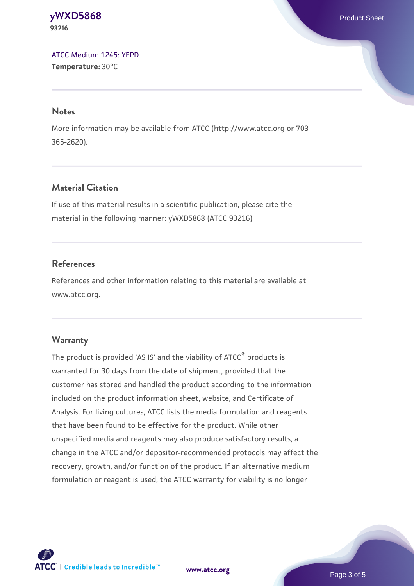#### **[yWXD5868](https://www.atcc.org/products/93216)** Product Sheet **93216**

[ATCC Medium 1245: YEPD](https://www.atcc.org/-/media/product-assets/documents/microbial-media-formulations/1/2/4/5/atcc-medium-1245.pdf?rev=705ca55d1b6f490a808a965d5c072196) **Temperature:** 30°C

#### **Notes**

More information may be available from ATCC (http://www.atcc.org or 703- 365-2620).

## **Material Citation**

If use of this material results in a scientific publication, please cite the material in the following manner: yWXD5868 (ATCC 93216)

## **References**

References and other information relating to this material are available at www.atcc.org.

## **Warranty**

The product is provided 'AS IS' and the viability of ATCC® products is warranted for 30 days from the date of shipment, provided that the customer has stored and handled the product according to the information included on the product information sheet, website, and Certificate of Analysis. For living cultures, ATCC lists the media formulation and reagents that have been found to be effective for the product. While other unspecified media and reagents may also produce satisfactory results, a change in the ATCC and/or depositor-recommended protocols may affect the recovery, growth, and/or function of the product. If an alternative medium formulation or reagent is used, the ATCC warranty for viability is no longer



**[www.atcc.org](http://www.atcc.org)**

Page 3 of 5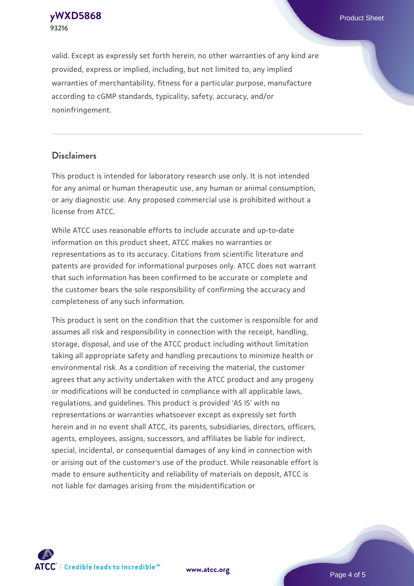**[yWXD5868](https://www.atcc.org/products/93216)** Product Sheet **93216**

valid. Except as expressly set forth herein, no other warranties of any kind are provided, express or implied, including, but not limited to, any implied warranties of merchantability, fitness for a particular purpose, manufacture according to cGMP standards, typicality, safety, accuracy, and/or noninfringement.

#### **Disclaimers**

This product is intended for laboratory research use only. It is not intended for any animal or human therapeutic use, any human or animal consumption, or any diagnostic use. Any proposed commercial use is prohibited without a license from ATCC.

While ATCC uses reasonable efforts to include accurate and up-to-date information on this product sheet, ATCC makes no warranties or representations as to its accuracy. Citations from scientific literature and patents are provided for informational purposes only. ATCC does not warrant that such information has been confirmed to be accurate or complete and the customer bears the sole responsibility of confirming the accuracy and completeness of any such information.

This product is sent on the condition that the customer is responsible for and assumes all risk and responsibility in connection with the receipt, handling, storage, disposal, and use of the ATCC product including without limitation taking all appropriate safety and handling precautions to minimize health or environmental risk. As a condition of receiving the material, the customer agrees that any activity undertaken with the ATCC product and any progeny or modifications will be conducted in compliance with all applicable laws, regulations, and guidelines. This product is provided 'AS IS' with no representations or warranties whatsoever except as expressly set forth herein and in no event shall ATCC, its parents, subsidiaries, directors, officers, agents, employees, assigns, successors, and affiliates be liable for indirect, special, incidental, or consequential damages of any kind in connection with or arising out of the customer's use of the product. While reasonable effort is made to ensure authenticity and reliability of materials on deposit, ATCC is not liable for damages arising from the misidentification or



**[www.atcc.org](http://www.atcc.org)**

Page 4 of 5